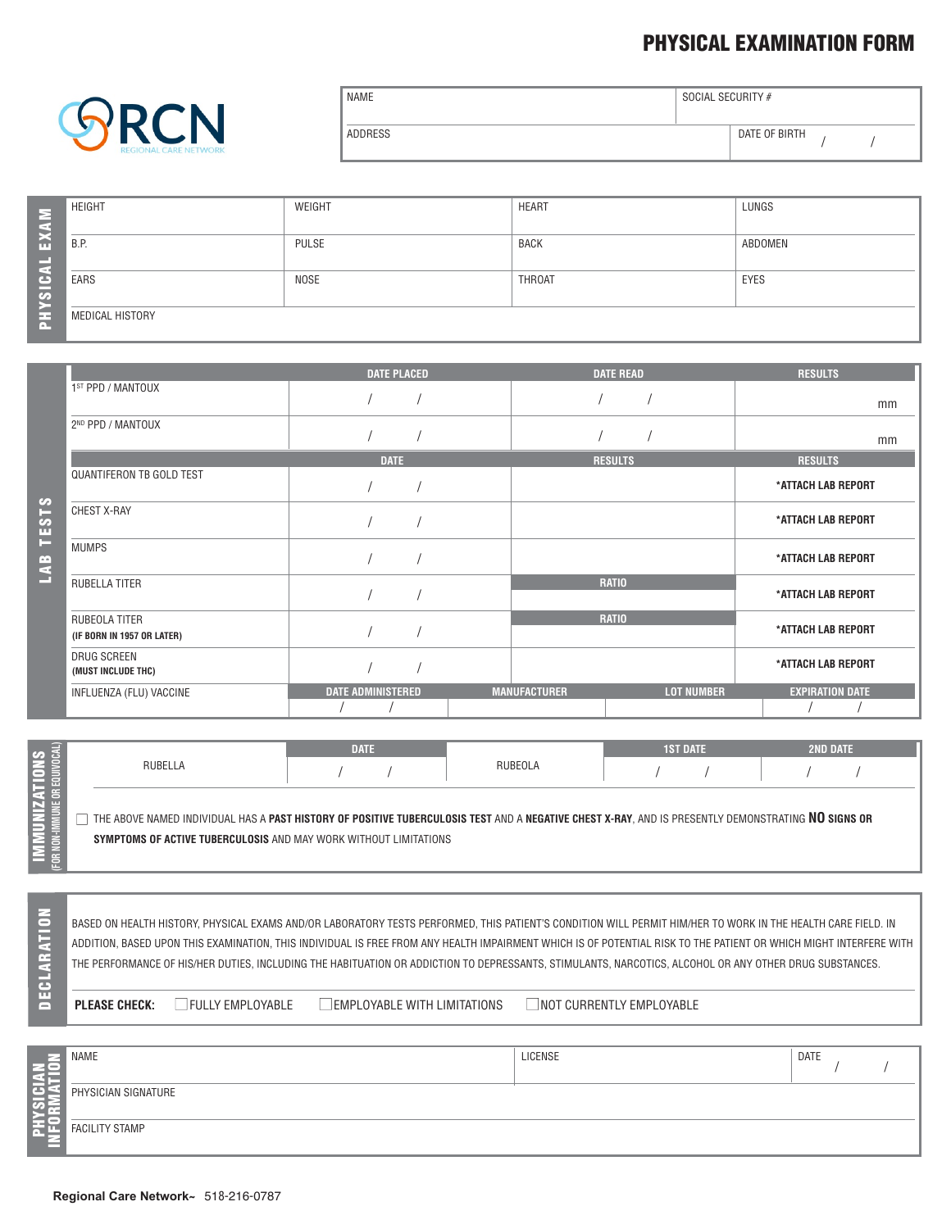## **PHYSICAL EXAMINATION FORM**



| <b>NAME</b> | SOCIAL SECURITY # |
|-------------|-------------------|
| ADDRESS     | DATE OF BIRTH     |

| EXAM          | <b>HEIGHT</b>     | WEIGHT | <b>HEART</b>  | LUNGS       |
|---------------|-------------------|--------|---------------|-------------|
| ш.            | <sup>1</sup> B.P. | PULSE  | BACK          | ABDOMEN     |
| $\frac{1}{2}$ | EARS              | NOSE   | <b>THROAT</b> | <b>EYES</b> |
| 폾             | MEDICAL HISTORY   |        |               |             |

|                           |                                             | <b>DATE PLACED</b>       | <b>DATE READ</b>                         | <b>RESULTS</b>         |
|---------------------------|---------------------------------------------|--------------------------|------------------------------------------|------------------------|
|                           | 1ST PPD / MANTOUX                           |                          |                                          | mm                     |
|                           | 2 <sup>ND</sup> PPD / MANTOUX               |                          |                                          | mm                     |
|                           |                                             | <b>DATE</b>              | <b>RESULTS</b>                           | <b>RESULTS</b>         |
|                           | <b>QUANTIFERON TB GOLD TEST</b>             |                          |                                          | *ATTACH LAB REPORT     |
| $\frac{3}{1}$<br><u>က</u> | CHEST X-RAY                                 |                          |                                          | *ATTACH LAB REPORT     |
| æ<br>4                    | MUMPS                                       |                          |                                          | *ATTACH LAB REPORT     |
|                           | RUBELLA TITER                               |                          | <b>RATIO</b>                             | *ATTACH LAB REPORT     |
|                           | RUBEOLA TITER<br>(IF BORN IN 1957 OR LATER) |                          | <b>RATIO</b>                             | *ATTACH LAB REPORT     |
|                           | DRUG SCREEN<br>(MUST INCLUDE THC)           |                          |                                          | *ATTACH LAB REPORT     |
|                           | INFLUENZA (FLU) VACCINE                     | <b>DATE ADMINISTERED</b> | <b>MANUFACTURER</b><br><b>LOT NUMBER</b> | <b>EXPIRATION DATE</b> |

|         | <b>DATE</b> |         | <b>1ST DATE</b>                                                         | <b>2ND DATE</b>                                                                                                                                    |
|---------|-------------|---------|-------------------------------------------------------------------------|----------------------------------------------------------------------------------------------------------------------------------------------------|
| RUBELLA |             | RUBEOLA |                                                                         |                                                                                                                                                    |
|         |             |         |                                                                         |                                                                                                                                                    |
|         |             |         |                                                                         |                                                                                                                                                    |
|         |             |         |                                                                         |                                                                                                                                                    |
|         |             |         |                                                                         |                                                                                                                                                    |
|         |             |         |                                                                         |                                                                                                                                                    |
|         |             |         | <b>SYMPTOMS OF ACTIVE TUBERCULOSIS</b> AND MAY WORK WITHOUT LIMITATIONS | THE ABOVE NAMED INDIVIDUAL HAS A PAST HISTORY OF POSITIVE TUBERCULOSIS TEST AND A NEGATIVE CHEST X-RAY, AND IS PRESENTLY DEMONSTRATING NO SIGNS OR |

BASED ON HEALTH HISTORY, PHYSICAL EXAMS AND/OR LABORATORY TESTS PERFORMED, THIS PATIENT'S CONDITION WILL PERMIT HIM/HER TO WORK IN THE HEALTH CARE FIELD. IN ADDITION, BASED UPON THIS EXAMINATION, THIS INDIVIDUAL IS FREE FROM ANY HEALTH IMPAIRMENT WHICH IS OF POTENTIAL RISK TO THE PATIENT OR WHICH MIGHT INTERFERE WITH THE PERFORMANCE OF HIS/HER DUTIES, INCLUDING THE HABITUATION OR ADDICTION TO DEPRESSANTS, STIMULANTS, NARCOTICS, ALCOHOL OR ANY OTHER DRUG SUBSTANCES.

**DEC**

**LARATI ON**

**PLEASE CHECK:** GFULLY EMPLOYABLE **gemployable with limitations** and currently employable

/ /

NAME LICENSE DATE PHYSICIAN SIGNATURE FACILITY STAMP **PHY SICIAN INF ORMATI O N**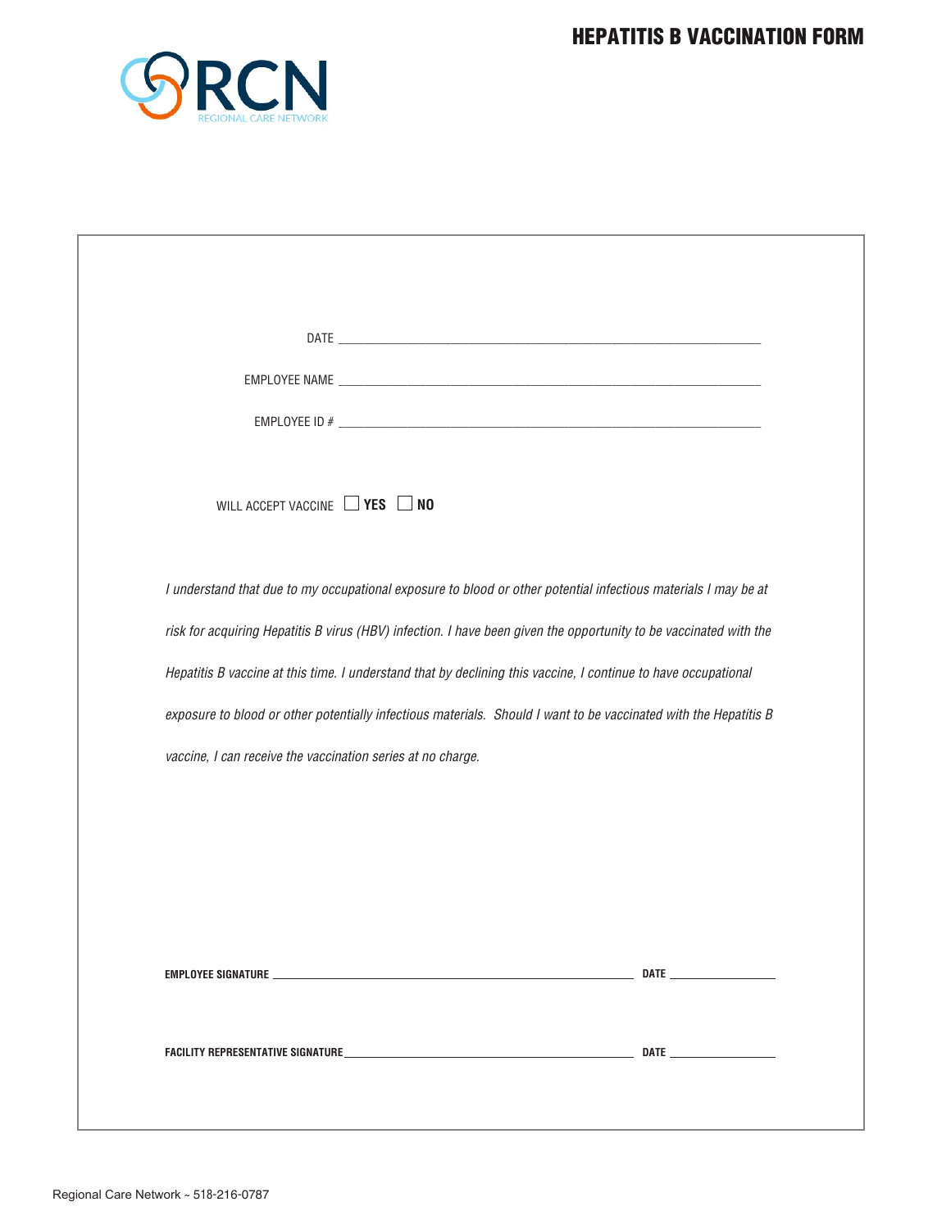

| WILL ACCEPT VACCINE VES NO                                                                                        |  |
|-------------------------------------------------------------------------------------------------------------------|--|
|                                                                                                                   |  |
| I understand that due to my occupational exposure to blood or other potential infectious materials I may be at    |  |
| risk for acquiring Hepatitis B virus (HBV) infection. I have been given the opportunity to be vaccinated with the |  |
| Hepatitis B vaccine at this time. I understand that by declining this vaccine, I continue to have occupational    |  |
| exposure to blood or other potentially infectious materials. Should I want to be vaccinated with the Hepatitis B  |  |
| vaccine, I can receive the vaccination series at no charge.                                                       |  |
|                                                                                                                   |  |
|                                                                                                                   |  |
|                                                                                                                   |  |
|                                                                                                                   |  |
|                                                                                                                   |  |
|                                                                                                                   |  |
|                                                                                                                   |  |
|                                                                                                                   |  |